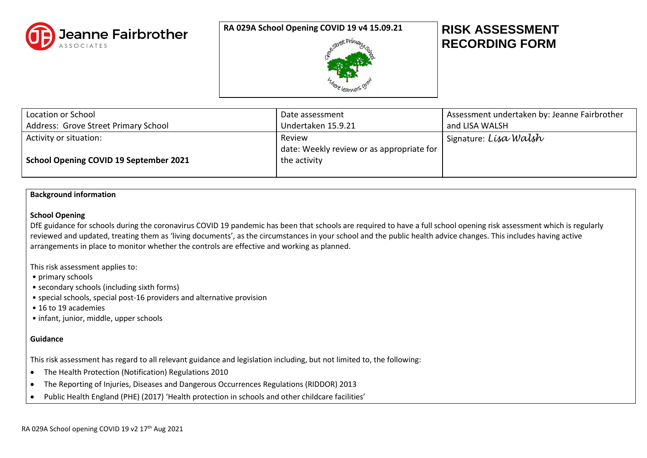

## **RA 029A School Opening COVID 19 v4 15.09.21 RISK ASSESSMENT**



# **RECORDING FORM**

| Location or School                                                      | Date assessment                                                     | Assessment undertaken by: Jeanne Fairbrother |
|-------------------------------------------------------------------------|---------------------------------------------------------------------|----------------------------------------------|
| Address: Grove Street Primary School                                    | Undertaken 15.9.21                                                  | and LISA WALSH                               |
| Activity or situation:<br><b>School Opening COVID 19 September 2021</b> | Review<br>date: Weekly review or as appropriate for<br>the activity | ' Signature: <i>Lísa Walsh</i>               |

#### **Background information**

#### **School Opening**

DfE guidance for schools during the coronavirus COVID 19 pandemic has been that schools are required to have a full school opening risk assessment which is regularly reviewed and updated, treating them as 'living documents', as the circumstances in your school and the public health advice changes. This includes having active arrangements in place to monitor whether the controls are effective and working as planned.

This risk assessment applies to:

• primary schools

- secondary schools (including sixth forms)
- special schools, special post-16 providers and alternative provision
- 16 to 19 academies
- infant, junior, middle, upper schools

#### **Guidance**

This risk assessment has regard to all relevant guidance and legislation including, but not limited to, the following:

- The Health Protection (Notification) Regulations 2010
- The Reporting of Injuries, Diseases and Dangerous Occurrences Regulations (RIDDOR) 2013
- Public Health England (PHE) (2017) 'Health protection in schools and other childcare facilities'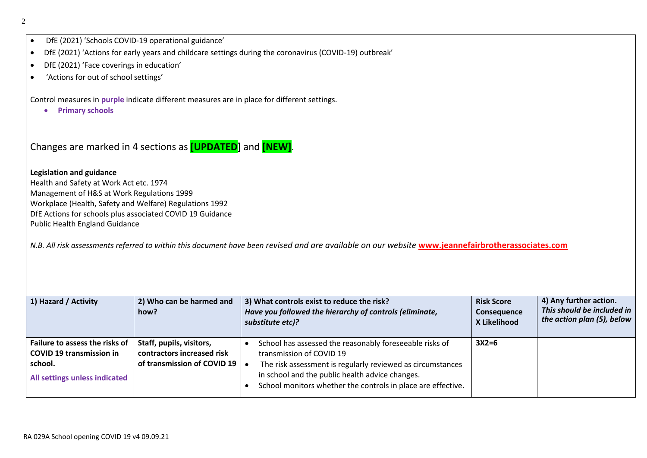- DfE (2021) 'Schools COVID-19 operational guidance'
- DfE (2021) 'Actions for early years and childcare settings during the coronavirus (COVID-19) outbreak'
- DfE (2021) 'Face coverings in education'
- 'Actions for out of school settings'

Control measures in **purple** indicate different measures are in place for different settings.

• **Primary schools**

Changes are marked in 4 sections as **[UPDATED]** and **[NEW]**.

**Legislation and guidance** Health and Safety at Work Act etc. 1974 Management of H&S at Work Regulations 1999 Workplace (Health, Safety and Welfare) Regulations 1992 DfE Actions for schools plus associated COVID 19 Guidance Public Health England Guidance

*N.B. All risk assessments referred to within this document have been revised and are available on our website* **[www.jeannefairbrotherassociates.com](http://www.jeannefairbrotherassociates.com/)**

| 1) Hazard / Activity                                                                                          | 2) Who can be harmed and<br>how?                                                      | 3) What controls exist to reduce the risk?<br>Have you followed the hierarchy of controls (eliminate,<br>substitute etc)?                                                                                                                                            | <b>Risk Score</b><br>Consequence<br>X Likelihood | 4) Any further action.<br>This should be included in<br>the action plan (5), below |
|---------------------------------------------------------------------------------------------------------------|---------------------------------------------------------------------------------------|----------------------------------------------------------------------------------------------------------------------------------------------------------------------------------------------------------------------------------------------------------------------|--------------------------------------------------|------------------------------------------------------------------------------------|
| Failure to assess the risks of<br><b>COVID 19 transmission in</b><br>school.<br>All settings unless indicated | Staff, pupils, visitors,<br>contractors increased risk<br>of transmission of COVID 19 | School has assessed the reasonably foreseeable risks of<br>transmission of COVID 19<br>The risk assessment is regularly reviewed as circumstances<br>in school and the public health advice changes.<br>School monitors whether the controls in place are effective. | $3X2=6$                                          |                                                                                    |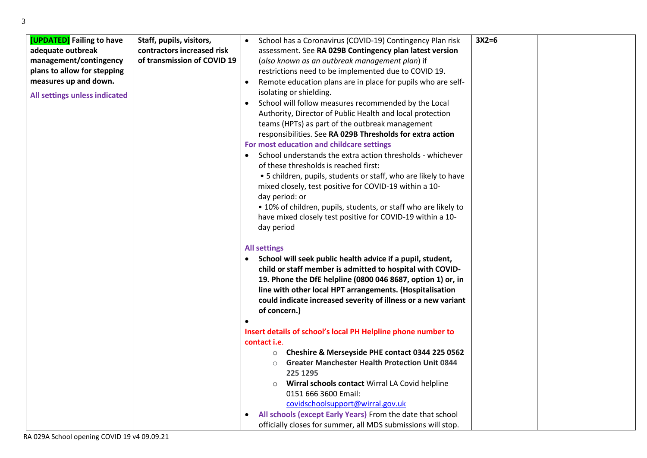| [UPDATED] Failing to have<br>adequate outbreak<br>management/contingency<br>plans to allow for stepping<br>measures up and down.<br>All settings unless indicated | Staff, pupils, visitors,<br>contractors increased risk<br>of transmission of COVID 19 | School has a Coronavirus (COVID-19) Contingency Plan risk<br>$\bullet$<br>assessment. See RA 029B Contingency plan latest version<br>(also known as an outbreak management plan) if<br>restrictions need to be implemented due to COVID 19.<br>Remote education plans are in place for pupils who are self-<br>$\bullet$<br>isolating or shielding.<br>School will follow measures recommended by the Local<br>$\bullet$<br>Authority, Director of Public Health and local protection<br>teams (HPTs) as part of the outbreak management<br>responsibilities. See RA 029B Thresholds for extra action<br>For most education and childcare settings<br>School understands the extra action thresholds - whichever<br>$\bullet$<br>of these thresholds is reached first:<br>• 5 children, pupils, students or staff, who are likely to have<br>mixed closely, test positive for COVID-19 within a 10-<br>day period: or<br>• 10% of children, pupils, students, or staff who are likely to<br>have mixed closely test positive for COVID-19 within a 10- |
|-------------------------------------------------------------------------------------------------------------------------------------------------------------------|---------------------------------------------------------------------------------------|--------------------------------------------------------------------------------------------------------------------------------------------------------------------------------------------------------------------------------------------------------------------------------------------------------------------------------------------------------------------------------------------------------------------------------------------------------------------------------------------------------------------------------------------------------------------------------------------------------------------------------------------------------------------------------------------------------------------------------------------------------------------------------------------------------------------------------------------------------------------------------------------------------------------------------------------------------------------------------------------------------------------------------------------------------|
|                                                                                                                                                                   |                                                                                       | day period<br><b>All settings</b><br>School will seek public health advice if a pupil, student,<br>$\bullet$<br>child or staff member is admitted to hospital with COVID-<br>19. Phone the DfE helpline (0800 046 8687, option 1) or, in<br>line with other local HPT arrangements. (Hospitalisation<br>could indicate increased severity of illness or a new variant<br>of concern.)                                                                                                                                                                                                                                                                                                                                                                                                                                                                                                                                                                                                                                                                  |

•

## **Insert details of school's local PH Helpline phone number to contact i.e**.

o **Cheshire & Merseyside PHE contact 0344 225 0562**

**3X2=6**

- o **Greater Manchester Health Protection Unit 0844 225 1295**
- o **Wirral schools contact** Wirral LA Covid helpline 0151 666 3600 Email: [covidschoolsupport@wirral.gov.uk](mailto:covidschoolsupport@wirral.gov.uk)
- **All schools (except Early Years)** From the date that school officially closes for summer, all MDS submissions will stop.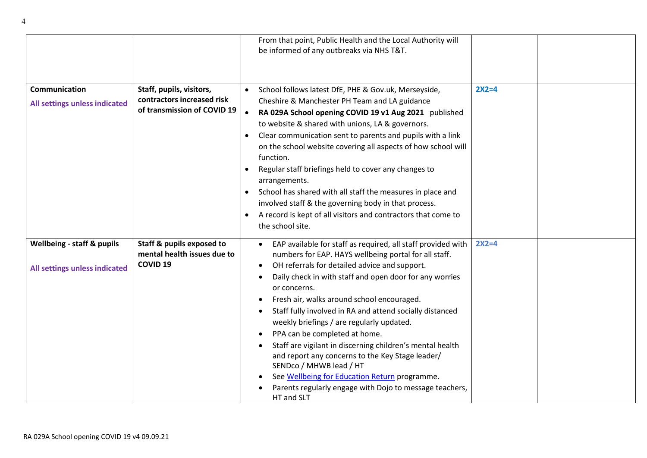|                                                                        |                                                                                       | From that point, Public Health and the Local Authority will<br>be informed of any outbreaks via NHS T&T.                                                                                                                                                                                                                                                                                                                                                                                                                                                                                                                                                                                                                     |         |  |
|------------------------------------------------------------------------|---------------------------------------------------------------------------------------|------------------------------------------------------------------------------------------------------------------------------------------------------------------------------------------------------------------------------------------------------------------------------------------------------------------------------------------------------------------------------------------------------------------------------------------------------------------------------------------------------------------------------------------------------------------------------------------------------------------------------------------------------------------------------------------------------------------------------|---------|--|
| Communication<br>All settings unless indicated                         | Staff, pupils, visitors,<br>contractors increased risk<br>of transmission of COVID 19 | School follows latest DfE, PHE & Gov.uk, Merseyside,<br>Cheshire & Manchester PH Team and LA guidance<br>RA 029A School opening COVID 19 v1 Aug 2021 published<br>to website & shared with unions, LA & governors.<br>Clear communication sent to parents and pupils with a link<br>$\bullet$<br>on the school website covering all aspects of how school will<br>function.<br>Regular staff briefings held to cover any changes to<br>$\bullet$<br>arrangements.<br>School has shared with all staff the measures in place and<br>$\bullet$<br>involved staff & the governing body in that process.<br>A record is kept of all visitors and contractors that come to<br>$\bullet$<br>the school site.                       | $2X2=4$ |  |
| <b>Wellbeing - staff &amp; pupils</b><br>All settings unless indicated | Staff & pupils exposed to<br>mental health issues due to<br><b>COVID 19</b>           | EAP available for staff as required, all staff provided with<br>$\bullet$<br>numbers for EAP. HAYS wellbeing portal for all staff.<br>OH referrals for detailed advice and support.<br>Daily check in with staff and open door for any worries<br>or concerns.<br>Fresh air, walks around school encouraged.<br>Staff fully involved in RA and attend socially distanced<br>weekly briefings / are regularly updated.<br>PPA can be completed at home.<br>Staff are vigilant in discerning children's mental health<br>and report any concerns to the Key Stage leader/<br>SENDco / MHWB lead / HT<br>See Wellbeing for Education Return programme.<br>Parents regularly engage with Dojo to message teachers,<br>HT and SLT | $2X2=4$ |  |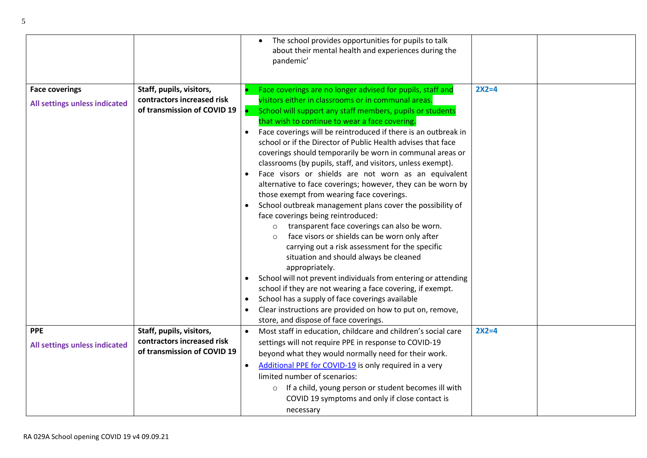|                               |                             |           | The school provides opportunities for pupils to talk<br>about their mental health and experiences during the<br>pandemic' |         |  |
|-------------------------------|-----------------------------|-----------|---------------------------------------------------------------------------------------------------------------------------|---------|--|
|                               |                             |           |                                                                                                                           |         |  |
| <b>Face coverings</b>         | Staff, pupils, visitors,    |           | Face coverings are no longer advised for pupils, staff and                                                                | $2X2=4$ |  |
| All settings unless indicated | contractors increased risk  |           | visitors either in classrooms or in communal areas.                                                                       |         |  |
|                               | of transmission of COVID 19 |           | School will support any staff members, pupils or students                                                                 |         |  |
|                               |                             |           | that wish to continue to wear a face covering.                                                                            |         |  |
|                               |                             | $\bullet$ | Face coverings will be reintroduced if there is an outbreak in                                                            |         |  |
|                               |                             |           | school or if the Director of Public Health advises that face                                                              |         |  |
|                               |                             |           | coverings should temporarily be worn in communal areas or                                                                 |         |  |
|                               |                             |           | classrooms (by pupils, staff, and visitors, unless exempt).                                                               |         |  |
|                               |                             | $\bullet$ | Face visors or shields are not worn as an equivalent                                                                      |         |  |
|                               |                             |           | alternative to face coverings; however, they can be worn by                                                               |         |  |
|                               |                             |           | those exempt from wearing face coverings.                                                                                 |         |  |
|                               |                             |           | School outbreak management plans cover the possibility of                                                                 |         |  |
|                               |                             |           | face coverings being reintroduced:                                                                                        |         |  |
|                               |                             |           | transparent face coverings can also be worn.<br>$\circ$                                                                   |         |  |
|                               |                             |           | face visors or shields can be worn only after<br>$\circ$                                                                  |         |  |
|                               |                             |           | carrying out a risk assessment for the specific                                                                           |         |  |
|                               |                             |           | situation and should always be cleaned                                                                                    |         |  |
|                               |                             |           | appropriately.                                                                                                            |         |  |
|                               |                             | $\bullet$ | School will not prevent individuals from entering or attending                                                            |         |  |
|                               |                             |           | school if they are not wearing a face covering, if exempt.                                                                |         |  |
|                               |                             | $\bullet$ | School has a supply of face coverings available                                                                           |         |  |
|                               |                             |           | Clear instructions are provided on how to put on, remove,                                                                 |         |  |
|                               |                             |           | store, and dispose of face coverings.                                                                                     |         |  |
| <b>PPE</b>                    | Staff, pupils, visitors,    | $\bullet$ | Most staff in education, childcare and children's social care                                                             | $2X2=4$ |  |
| All settings unless indicated | contractors increased risk  |           | settings will not require PPE in response to COVID-19                                                                     |         |  |
|                               | of transmission of COVID 19 |           | beyond what they would normally need for their work.                                                                      |         |  |
|                               |                             | $\bullet$ | Additional PPE for COVID-19 is only required in a very                                                                    |         |  |
|                               |                             |           | limited number of scenarios:                                                                                              |         |  |
|                               |                             |           | If a child, young person or student becomes ill with<br>$\circ$                                                           |         |  |
|                               |                             |           | COVID 19 symptoms and only if close contact is                                                                            |         |  |
|                               |                             |           | necessary                                                                                                                 |         |  |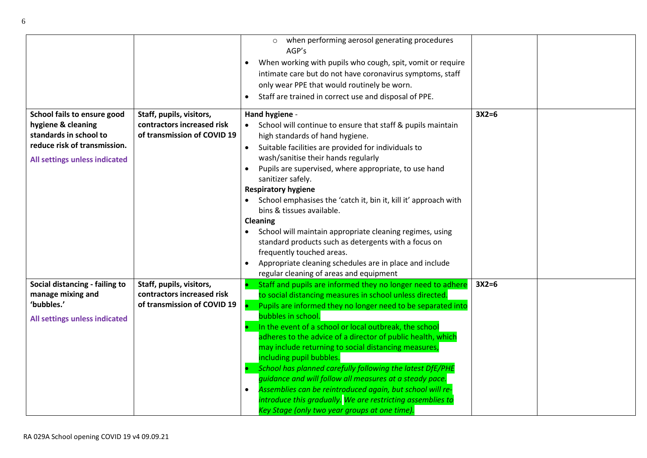|                                                                                                                                              |                                                                                       | when performing aerosol generating procedures<br>$\circ$<br>AGP's<br>When working with pupils who cough, spit, vomit or require<br>$\bullet$<br>intimate care but do not have coronavirus symptoms, staff<br>only wear PPE that would routinely be worn.<br>Staff are trained in correct use and disposal of PPE.<br>$\bullet$                                                                                                                                                                                                                                                                                                                                                                                                 |         |  |
|----------------------------------------------------------------------------------------------------------------------------------------------|---------------------------------------------------------------------------------------|--------------------------------------------------------------------------------------------------------------------------------------------------------------------------------------------------------------------------------------------------------------------------------------------------------------------------------------------------------------------------------------------------------------------------------------------------------------------------------------------------------------------------------------------------------------------------------------------------------------------------------------------------------------------------------------------------------------------------------|---------|--|
| School fails to ensure good<br>hygiene & cleaning<br>standards in school to<br>reduce risk of transmission.<br>All settings unless indicated | Staff, pupils, visitors,<br>contractors increased risk<br>of transmission of COVID 19 | Hand hygiene -<br>School will continue to ensure that staff & pupils maintain<br>high standards of hand hygiene.<br>Suitable facilities are provided for individuals to<br>$\bullet$<br>wash/sanitise their hands regularly<br>Pupils are supervised, where appropriate, to use hand<br>$\bullet$<br>sanitizer safely.<br><b>Respiratory hygiene</b><br>School emphasises the 'catch it, bin it, kill it' approach with<br>bins & tissues available.<br>Cleaning<br>School will maintain appropriate cleaning regimes, using<br>standard products such as detergents with a focus on<br>frequently touched areas.                                                                                                              | $3X2=6$ |  |
|                                                                                                                                              |                                                                                       | Appropriate cleaning schedules are in place and include<br>regular cleaning of areas and equipment                                                                                                                                                                                                                                                                                                                                                                                                                                                                                                                                                                                                                             |         |  |
| Social distancing - failing to<br>manage mixing and<br>'bubbles.'<br>All settings unless indicated                                           | Staff, pupils, visitors,<br>contractors increased risk<br>of transmission of COVID 19 | Staff and pupils are informed they no longer need to adhere<br>to social distancing measures in school unless directed.<br>Pupils are informed they no longer need to be separated into<br>bubbles in school.<br>In the event of a school or local outbreak, the school<br>adheres to the advice of a director of public health, which<br>may include returning to social distancing measures,<br>including pupil bubbles.<br>School has planned carefully following the latest DfE/PHE<br>quidance and will follow all measures at a steady pace.<br>Assemblies can be reintroduced again, but school will re-<br>introduce this gradually. We are restricting assemblies to<br>Key Stage (only two year groups at one time). | $3X2=6$ |  |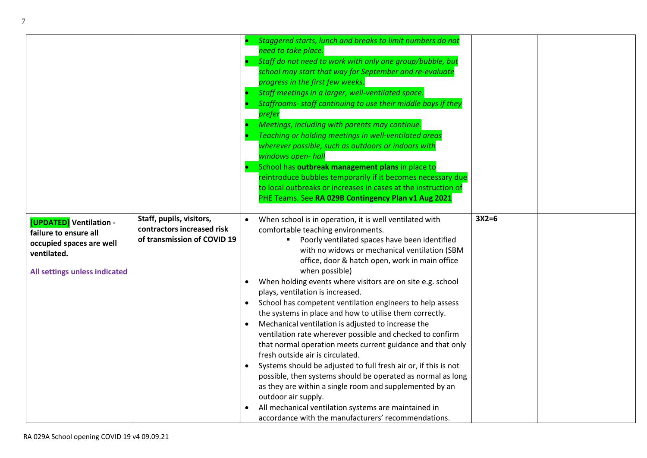|                                                                                                                              |                                                                                       | Staggered starts, lunch and breaks to limit numbers do not<br>need to take place.<br>Staff do not need to work with only one group/bubble, but<br>school may start that way for September and re-evaluate<br>progress in the first few weeks.<br>Staff meetings in a larger, well-ventilated space.<br>Staffrooms- staff continuing to use their middle bays if they<br>prefer<br>Meetings, including with parents may continue.<br>Teaching or holding meetings in well-ventilated areas<br>wherever possible, such as outdoors or indoors with<br>windows open- hall<br>School has outbreak management plans in place to<br>reintroduce bubbles temporarily if it becomes necessary due<br>to local outbreaks or increases in cases at the instruction of<br>PHE Teams. See RA 029B Contingency Plan v1 Aug 2021                                                                                                                                                                                                                                      |         |
|------------------------------------------------------------------------------------------------------------------------------|---------------------------------------------------------------------------------------|---------------------------------------------------------------------------------------------------------------------------------------------------------------------------------------------------------------------------------------------------------------------------------------------------------------------------------------------------------------------------------------------------------------------------------------------------------------------------------------------------------------------------------------------------------------------------------------------------------------------------------------------------------------------------------------------------------------------------------------------------------------------------------------------------------------------------------------------------------------------------------------------------------------------------------------------------------------------------------------------------------------------------------------------------------|---------|
| [UPDATED] Ventilation -<br>failure to ensure all<br>occupied spaces are well<br>ventilated.<br>All settings unless indicated | Staff, pupils, visitors,<br>contractors increased risk<br>of transmission of COVID 19 | When school is in operation, it is well ventilated with<br>comfortable teaching environments.<br>" Poorly ventilated spaces have been identified<br>with no widows or mechanical ventilation (SBM<br>office, door & hatch open, work in main office<br>when possible)<br>When holding events where visitors are on site e.g. school<br>plays, ventilation is increased.<br>School has competent ventilation engineers to help assess<br>the systems in place and how to utilise them correctly.<br>Mechanical ventilation is adjusted to increase the<br>ventilation rate wherever possible and checked to confirm<br>that normal operation meets current guidance and that only<br>fresh outside air is circulated.<br>Systems should be adjusted to full fresh air or, if this is not<br>possible, then systems should be operated as normal as long<br>as they are within a single room and supplemented by an<br>outdoor air supply.<br>All mechanical ventilation systems are maintained in<br>accordance with the manufacturers' recommendations. | $3X2=6$ |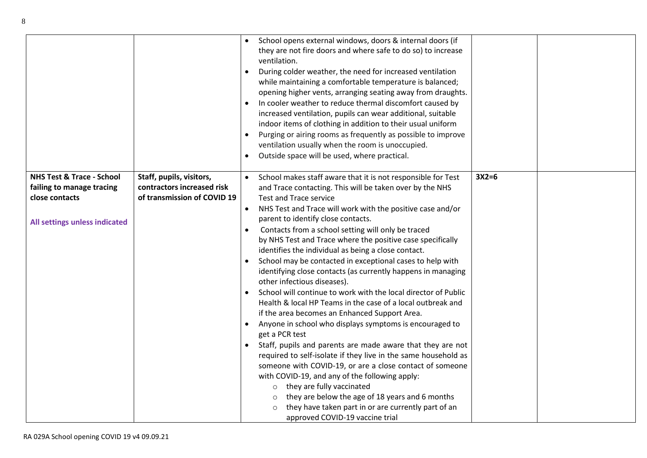|                                                                                                                      |                                                                                       | $\bullet$<br>$\bullet$<br>$\bullet$ | School opens external windows, doors & internal doors (if<br>they are not fire doors and where safe to do so) to increase<br>ventilation.<br>During colder weather, the need for increased ventilation<br>while maintaining a comfortable temperature is balanced;<br>opening higher vents, arranging seating away from draughts.<br>In cooler weather to reduce thermal discomfort caused by<br>increased ventilation, pupils can wear additional, suitable<br>indoor items of clothing in addition to their usual uniform<br>Purging or airing rooms as frequently as possible to improve<br>ventilation usually when the room is unoccupied.<br>Outside space will be used, where practical.                                                                                                                                                                                                                                                                                                                                                                                                                                                                                                                                                                                                                   |         |  |
|----------------------------------------------------------------------------------------------------------------------|---------------------------------------------------------------------------------------|-------------------------------------|-------------------------------------------------------------------------------------------------------------------------------------------------------------------------------------------------------------------------------------------------------------------------------------------------------------------------------------------------------------------------------------------------------------------------------------------------------------------------------------------------------------------------------------------------------------------------------------------------------------------------------------------------------------------------------------------------------------------------------------------------------------------------------------------------------------------------------------------------------------------------------------------------------------------------------------------------------------------------------------------------------------------------------------------------------------------------------------------------------------------------------------------------------------------------------------------------------------------------------------------------------------------------------------------------------------------|---------|--|
| <b>NHS Test &amp; Trace - School</b><br>failing to manage tracing<br>close contacts<br>All settings unless indicated | Staff, pupils, visitors,<br>contractors increased risk<br>of transmission of COVID 19 | $\bullet$<br>$\bullet$              | School makes staff aware that it is not responsible for Test<br>and Trace contacting. This will be taken over by the NHS<br><b>Test and Trace service</b><br>NHS Test and Trace will work with the positive case and/or<br>parent to identify close contacts.<br>Contacts from a school setting will only be traced<br>by NHS Test and Trace where the positive case specifically<br>identifies the individual as being a close contact.<br>School may be contacted in exceptional cases to help with<br>identifying close contacts (as currently happens in managing<br>other infectious diseases).<br>School will continue to work with the local director of Public<br>Health & local HP Teams in the case of a local outbreak and<br>if the area becomes an Enhanced Support Area.<br>Anyone in school who displays symptoms is encouraged to<br>get a PCR test<br>Staff, pupils and parents are made aware that they are not<br>required to self-isolate if they live in the same household as<br>someone with COVID-19, or are a close contact of someone<br>with COVID-19, and any of the following apply:<br>they are fully vaccinated<br>$\circ$<br>they are below the age of 18 years and 6 months<br>$\circ$<br>they have taken part in or are currently part of an<br>approved COVID-19 vaccine trial | $3X2=6$ |  |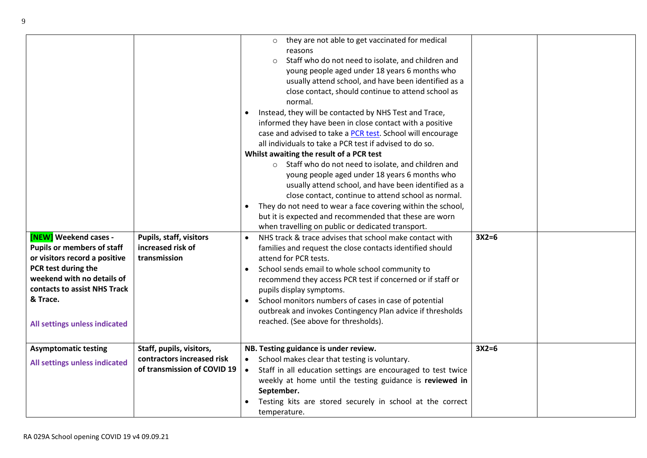|                                   |                                                           | they are not able to get vaccinated for medical<br>$\circ$                |         |  |
|-----------------------------------|-----------------------------------------------------------|---------------------------------------------------------------------------|---------|--|
|                                   |                                                           | reasons                                                                   |         |  |
|                                   |                                                           | Staff who do not need to isolate, and children and<br>$\circ$             |         |  |
|                                   |                                                           | young people aged under 18 years 6 months who                             |         |  |
|                                   |                                                           | usually attend school, and have been identified as a                      |         |  |
|                                   |                                                           | close contact, should continue to attend school as                        |         |  |
|                                   |                                                           | normal.                                                                   |         |  |
|                                   |                                                           | Instead, they will be contacted by NHS Test and Trace,                    |         |  |
|                                   |                                                           | informed they have been in close contact with a positive                  |         |  |
|                                   |                                                           | case and advised to take a PCR test. School will encourage                |         |  |
|                                   |                                                           | all individuals to take a PCR test if advised to do so.                   |         |  |
|                                   |                                                           | Whilst awaiting the result of a PCR test                                  |         |  |
|                                   |                                                           | o Staff who do not need to isolate, and children and                      |         |  |
|                                   |                                                           | young people aged under 18 years 6 months who                             |         |  |
|                                   |                                                           | usually attend school, and have been identified as a                      |         |  |
|                                   |                                                           | close contact, continue to attend school as normal.                       |         |  |
|                                   |                                                           | They do not need to wear a face covering within the school,<br>$\bullet$  |         |  |
|                                   |                                                           | but it is expected and recommended that these are worn                    |         |  |
|                                   |                                                           | when travelling on public or dedicated transport.                         |         |  |
| <b>[NEW]</b> Weekend cases -      | Pupils, staff, visitors                                   | NHS track & trace advises that school make contact with<br>$\bullet$      | $3X2=6$ |  |
| <b>Pupils or members of staff</b> | increased risk of                                         | families and request the close contacts identified should                 |         |  |
| or visitors record a positive     | transmission                                              | attend for PCR tests.                                                     |         |  |
| PCR test during the               |                                                           | School sends email to whole school community to                           |         |  |
| weekend with no details of        |                                                           | recommend they access PCR test if concerned or if staff or                |         |  |
| contacts to assist NHS Track      |                                                           | pupils display symptoms.                                                  |         |  |
| & Trace.                          |                                                           | School monitors numbers of cases in case of potential<br>$\bullet$        |         |  |
|                                   |                                                           | outbreak and invokes Contingency Plan advice if thresholds                |         |  |
| All settings unless indicated     |                                                           | reached. (See above for thresholds).                                      |         |  |
|                                   |                                                           |                                                                           |         |  |
|                                   |                                                           |                                                                           |         |  |
| <b>Asymptomatic testing</b>       | Staff, pupils, visitors,                                  | NB. Testing guidance is under review.                                     | $3X2=6$ |  |
| All settings unless indicated     | contractors increased risk<br>of transmission of COVID 19 | School makes clear that testing is voluntary.<br>$\bullet$                |         |  |
|                                   |                                                           | Staff in all education settings are encouraged to test twice<br>$\bullet$ |         |  |
|                                   |                                                           | weekly at home until the testing guidance is reviewed in                  |         |  |
|                                   |                                                           | September.                                                                |         |  |
|                                   |                                                           | Testing kits are stored securely in school at the correct                 |         |  |
|                                   |                                                           | temperature.                                                              |         |  |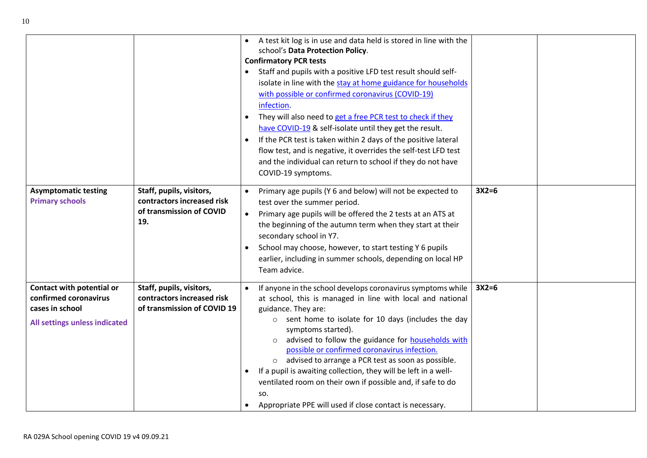| <b>Asymptomatic testing</b><br><b>Primary schools</b> | Staff, pupils, visitors,<br>contractors increased risk    | $\bullet$<br>$\bullet$ | A test kit log is in use and data held is stored in line with the<br>school's Data Protection Policy.<br><b>Confirmatory PCR tests</b><br>Staff and pupils with a positive LFD test result should self-<br>isolate in line with the stay at home guidance for households<br>with possible or confirmed coronavirus (COVID-19)<br>infection.<br>They will also need to get a free PCR test to check if they<br>have COVID-19 & self-isolate until they get the result.<br>If the PCR test is taken within 2 days of the positive lateral<br>flow test, and is negative, it overrides the self-test LFD test<br>and the individual can return to school if they do not have<br>COVID-19 symptoms.<br>Primary age pupils (Y 6 and below) will not be expected to<br>test over the summer period. | $3X2=6$ |  |
|-------------------------------------------------------|-----------------------------------------------------------|------------------------|-----------------------------------------------------------------------------------------------------------------------------------------------------------------------------------------------------------------------------------------------------------------------------------------------------------------------------------------------------------------------------------------------------------------------------------------------------------------------------------------------------------------------------------------------------------------------------------------------------------------------------------------------------------------------------------------------------------------------------------------------------------------------------------------------|---------|--|
|                                                       | of transmission of COVID                                  | $\bullet$              | Primary age pupils will be offered the 2 tests at an ATS at                                                                                                                                                                                                                                                                                                                                                                                                                                                                                                                                                                                                                                                                                                                                   |         |  |
|                                                       | 19.                                                       |                        | the beginning of the autumn term when they start at their<br>secondary school in Y7.<br>School may choose, however, to start testing Y 6 pupils<br>earlier, including in summer schools, depending on local HP<br>Team advice.                                                                                                                                                                                                                                                                                                                                                                                                                                                                                                                                                                |         |  |
| Contact with potential or                             | Staff, pupils, visitors,                                  |                        | If anyone in the school develops coronavirus symptoms while                                                                                                                                                                                                                                                                                                                                                                                                                                                                                                                                                                                                                                                                                                                                   | $3X2=6$ |  |
| confirmed coronavirus<br>cases in school              | contractors increased risk<br>of transmission of COVID 19 |                        | at school, this is managed in line with local and national<br>guidance. They are:                                                                                                                                                                                                                                                                                                                                                                                                                                                                                                                                                                                                                                                                                                             |         |  |
| All settings unless indicated                         |                                                           |                        | $\circ$ sent home to isolate for 10 days (includes the day                                                                                                                                                                                                                                                                                                                                                                                                                                                                                                                                                                                                                                                                                                                                    |         |  |
|                                                       |                                                           |                        | symptoms started).                                                                                                                                                                                                                                                                                                                                                                                                                                                                                                                                                                                                                                                                                                                                                                            |         |  |
|                                                       |                                                           |                        | advised to follow the guidance for <b>households</b> with<br>$\circ$<br>possible or confirmed coronavirus infection.                                                                                                                                                                                                                                                                                                                                                                                                                                                                                                                                                                                                                                                                          |         |  |
|                                                       |                                                           |                        | o advised to arrange a PCR test as soon as possible.                                                                                                                                                                                                                                                                                                                                                                                                                                                                                                                                                                                                                                                                                                                                          |         |  |
|                                                       |                                                           | $\bullet$              | If a pupil is awaiting collection, they will be left in a well-                                                                                                                                                                                                                                                                                                                                                                                                                                                                                                                                                                                                                                                                                                                               |         |  |
|                                                       |                                                           |                        | ventilated room on their own if possible and, if safe to do<br>SO.                                                                                                                                                                                                                                                                                                                                                                                                                                                                                                                                                                                                                                                                                                                            |         |  |
|                                                       |                                                           |                        | Appropriate PPE will used if close contact is necessary.                                                                                                                                                                                                                                                                                                                                                                                                                                                                                                                                                                                                                                                                                                                                      |         |  |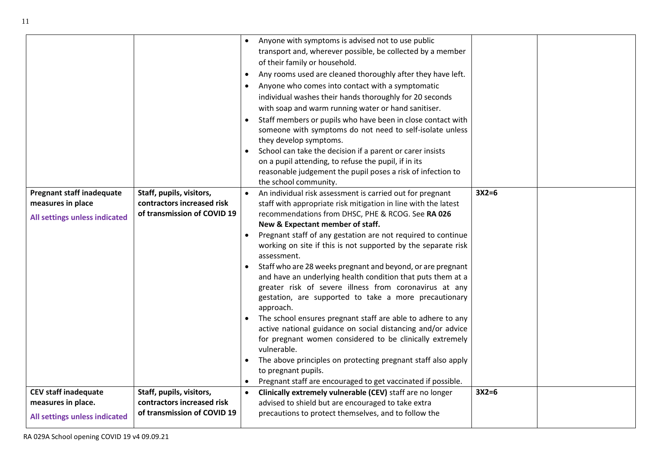|                                  |                             | $\bullet$ | Anyone with symptoms is advised not to use public                                   |         |  |
|----------------------------------|-----------------------------|-----------|-------------------------------------------------------------------------------------|---------|--|
|                                  |                             |           | transport and, wherever possible, be collected by a member                          |         |  |
|                                  |                             |           | of their family or household.                                                       |         |  |
|                                  |                             | $\bullet$ | Any rooms used are cleaned thoroughly after they have left.                         |         |  |
|                                  |                             | $\bullet$ | Anyone who comes into contact with a symptomatic                                    |         |  |
|                                  |                             |           | individual washes their hands thoroughly for 20 seconds                             |         |  |
|                                  |                             |           | with soap and warm running water or hand sanitiser.                                 |         |  |
|                                  |                             | $\bullet$ | Staff members or pupils who have been in close contact with                         |         |  |
|                                  |                             |           | someone with symptoms do not need to self-isolate unless                            |         |  |
|                                  |                             |           | they develop symptoms.                                                              |         |  |
|                                  |                             | $\bullet$ | School can take the decision if a parent or carer insists                           |         |  |
|                                  |                             |           | on a pupil attending, to refuse the pupil, if in its                                |         |  |
|                                  |                             |           | reasonable judgement the pupil poses a risk of infection to                         |         |  |
|                                  |                             |           | the school community.                                                               |         |  |
| <b>Pregnant staff inadequate</b> | Staff, pupils, visitors,    | $\bullet$ | An individual risk assessment is carried out for pregnant                           | $3X2=6$ |  |
| measures in place                | contractors increased risk  |           | staff with appropriate risk mitigation in line with the latest                      |         |  |
| All settings unless indicated    | of transmission of COVID 19 |           | recommendations from DHSC, PHE & RCOG. See RA 026                                   |         |  |
|                                  |                             |           | New & Expectant member of staff.                                                    |         |  |
|                                  |                             | $\bullet$ | Pregnant staff of any gestation are not required to continue                        |         |  |
|                                  |                             |           | working on site if this is not supported by the separate risk                       |         |  |
|                                  |                             |           | assessment.                                                                         |         |  |
|                                  |                             |           | Staff who are 28 weeks pregnant and beyond, or are pregnant                         |         |  |
|                                  |                             |           | and have an underlying health condition that puts them at a                         |         |  |
|                                  |                             |           | greater risk of severe illness from coronavirus at any                              |         |  |
|                                  |                             |           | gestation, are supported to take a more precautionary                               |         |  |
|                                  |                             |           | approach.                                                                           |         |  |
|                                  |                             | $\bullet$ | The school ensures pregnant staff are able to adhere to any                         |         |  |
|                                  |                             |           | active national guidance on social distancing and/or advice                         |         |  |
|                                  |                             |           | for pregnant women considered to be clinically extremely<br>vulnerable.             |         |  |
|                                  |                             |           |                                                                                     |         |  |
|                                  |                             | $\bullet$ | The above principles on protecting pregnant staff also apply<br>to pregnant pupils. |         |  |
|                                  |                             | $\bullet$ | Pregnant staff are encouraged to get vaccinated if possible.                        |         |  |
| <b>CEV staff inadequate</b>      | Staff, pupils, visitors,    | $\bullet$ | Clinically extremely vulnerable (CEV) staff are no longer                           | $3X2=6$ |  |
| measures in place.               | contractors increased risk  |           | advised to shield but are encouraged to take extra                                  |         |  |
|                                  | of transmission of COVID 19 |           | precautions to protect themselves, and to follow the                                |         |  |
| All settings unless indicated    |                             |           |                                                                                     |         |  |
|                                  |                             |           |                                                                                     |         |  |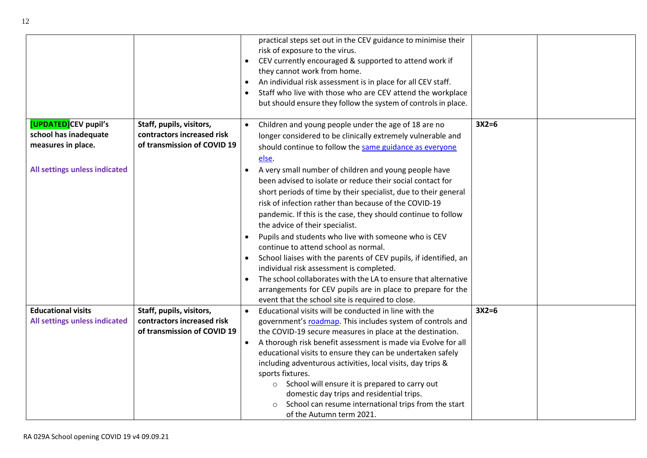|                                                                     |                                                                                       | practical steps set out in the CEV guidance to minimise their<br>risk of exposure to the virus.<br>CEV currently encouraged & supported to attend work if<br>they cannot work from home.<br>An individual risk assessment is in place for all CEV staff.<br>Staff who live with those who are CEV attend the workplace<br>but should ensure they follow the system of controls in place.                                                                                                                                                                                                                                                                                                                                                                          |         |
|---------------------------------------------------------------------|---------------------------------------------------------------------------------------|-------------------------------------------------------------------------------------------------------------------------------------------------------------------------------------------------------------------------------------------------------------------------------------------------------------------------------------------------------------------------------------------------------------------------------------------------------------------------------------------------------------------------------------------------------------------------------------------------------------------------------------------------------------------------------------------------------------------------------------------------------------------|---------|
| [UPDATED]CEV pupil's<br>school has inadequate<br>measures in place. | Staff, pupils, visitors,<br>contractors increased risk<br>of transmission of COVID 19 | Children and young people under the age of 18 are no<br>longer considered to be clinically extremely vulnerable and<br>should continue to follow the same guidance as everyone                                                                                                                                                                                                                                                                                                                                                                                                                                                                                                                                                                                    | $3X2=6$ |
| All settings unless indicated                                       |                                                                                       | else.<br>A very small number of children and young people have<br>been advised to isolate or reduce their social contact for<br>short periods of time by their specialist, due to their general<br>risk of infection rather than because of the COVID-19<br>pandemic. If this is the case, they should continue to follow<br>the advice of their specialist.<br>Pupils and students who live with someone who is CEV<br>continue to attend school as normal.<br>School liaises with the parents of CEV pupils, if identified, an<br>individual risk assessment is completed.<br>The school collaborates with the LA to ensure that alternative<br>arrangements for CEV pupils are in place to prepare for the<br>event that the school site is required to close. |         |
| <b>Educational visits</b><br>All settings unless indicated          | Staff, pupils, visitors,<br>contractors increased risk<br>of transmission of COVID 19 | Educational visits will be conducted in line with the<br>$\bullet$<br>government's roadmap. This includes system of controls and<br>the COVID-19 secure measures in place at the destination.<br>A thorough risk benefit assessment is made via Evolve for all<br>$\bullet$<br>educational visits to ensure they can be undertaken safely<br>including adventurous activities, local visits, day trips &<br>sports fixtures.<br>School will ensure it is prepared to carry out<br>$\circ$<br>domestic day trips and residential trips.<br>School can resume international trips from the start<br>of the Autumn term 2021.                                                                                                                                        | $3X2=6$ |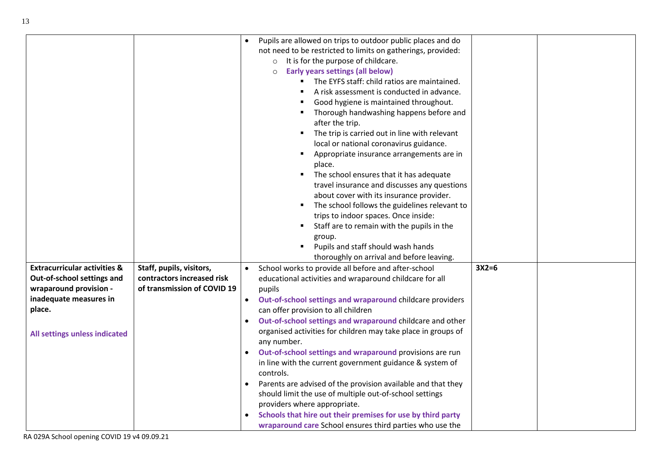|                                         |                             | Pupils are allowed on trips to outdoor public places and do<br>not need to be restricted to limits on gatherings, provided:<br>o It is for the purpose of childcare.<br><b>Early years settings (all below)</b><br>$\Omega$<br>The EYFS staff: child ratios are maintained.<br>A risk assessment is conducted in advance.<br>Good hygiene is maintained throughout.<br>Thorough handwashing happens before and<br>after the trip.<br>The trip is carried out in line with relevant<br>local or national coronavirus guidance.<br>Appropriate insurance arrangements are in<br>place.<br>The school ensures that it has adequate<br>travel insurance and discusses any questions<br>about cover with its insurance provider.<br>The school follows the guidelines relevant to<br>trips to indoor spaces. Once inside:<br>Staff are to remain with the pupils in the<br>group.<br>Pupils and staff should wash hands<br>thoroughly on arrival and before leaving. |         |  |
|-----------------------------------------|-----------------------------|-----------------------------------------------------------------------------------------------------------------------------------------------------------------------------------------------------------------------------------------------------------------------------------------------------------------------------------------------------------------------------------------------------------------------------------------------------------------------------------------------------------------------------------------------------------------------------------------------------------------------------------------------------------------------------------------------------------------------------------------------------------------------------------------------------------------------------------------------------------------------------------------------------------------------------------------------------------------|---------|--|
| <b>Extracurricular activities &amp;</b> | Staff, pupils, visitors,    | School works to provide all before and after-school                                                                                                                                                                                                                                                                                                                                                                                                                                                                                                                                                                                                                                                                                                                                                                                                                                                                                                             | $3X2=6$ |  |
| Out-of-school settings and              | contractors increased risk  | educational activities and wraparound childcare for all                                                                                                                                                                                                                                                                                                                                                                                                                                                                                                                                                                                                                                                                                                                                                                                                                                                                                                         |         |  |
| wraparound provision -                  | of transmission of COVID 19 | pupils                                                                                                                                                                                                                                                                                                                                                                                                                                                                                                                                                                                                                                                                                                                                                                                                                                                                                                                                                          |         |  |
| inadequate measures in                  |                             | Out-of-school settings and wraparound childcare providers                                                                                                                                                                                                                                                                                                                                                                                                                                                                                                                                                                                                                                                                                                                                                                                                                                                                                                       |         |  |
| place.                                  |                             | can offer provision to all children                                                                                                                                                                                                                                                                                                                                                                                                                                                                                                                                                                                                                                                                                                                                                                                                                                                                                                                             |         |  |
|                                         |                             | Out-of-school settings and wraparound childcare and other                                                                                                                                                                                                                                                                                                                                                                                                                                                                                                                                                                                                                                                                                                                                                                                                                                                                                                       |         |  |
| All settings unless indicated           |                             | organised activities for children may take place in groups of<br>any number.                                                                                                                                                                                                                                                                                                                                                                                                                                                                                                                                                                                                                                                                                                                                                                                                                                                                                    |         |  |
|                                         |                             | Out-of-school settings and wraparound provisions are run                                                                                                                                                                                                                                                                                                                                                                                                                                                                                                                                                                                                                                                                                                                                                                                                                                                                                                        |         |  |
|                                         |                             | in line with the current government guidance & system of<br>controls.                                                                                                                                                                                                                                                                                                                                                                                                                                                                                                                                                                                                                                                                                                                                                                                                                                                                                           |         |  |
|                                         |                             | Parents are advised of the provision available and that they<br>$\bullet$                                                                                                                                                                                                                                                                                                                                                                                                                                                                                                                                                                                                                                                                                                                                                                                                                                                                                       |         |  |
|                                         |                             | should limit the use of multiple out-of-school settings                                                                                                                                                                                                                                                                                                                                                                                                                                                                                                                                                                                                                                                                                                                                                                                                                                                                                                         |         |  |
|                                         |                             | providers where appropriate.                                                                                                                                                                                                                                                                                                                                                                                                                                                                                                                                                                                                                                                                                                                                                                                                                                                                                                                                    |         |  |
|                                         |                             | Schools that hire out their premises for use by third party                                                                                                                                                                                                                                                                                                                                                                                                                                                                                                                                                                                                                                                                                                                                                                                                                                                                                                     |         |  |
|                                         |                             | wraparound care School ensures third parties who use the                                                                                                                                                                                                                                                                                                                                                                                                                                                                                                                                                                                                                                                                                                                                                                                                                                                                                                        |         |  |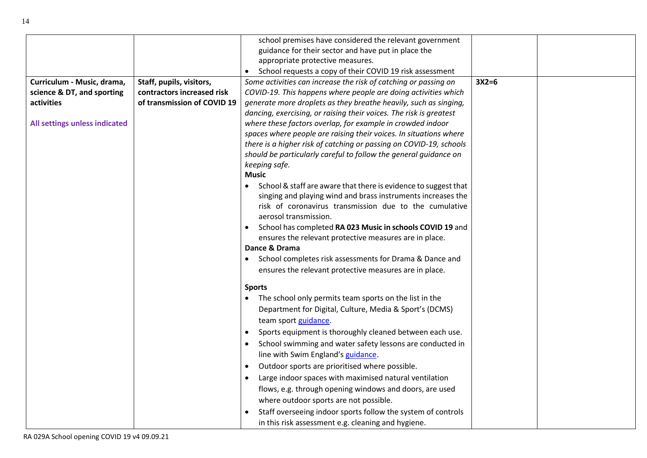|                               |                             | school premises have considered the relevant government             |         |  |
|-------------------------------|-----------------------------|---------------------------------------------------------------------|---------|--|
|                               |                             | guidance for their sector and have put in place the                 |         |  |
|                               |                             | appropriate protective measures.                                    |         |  |
|                               |                             | School requests a copy of their COVID 19 risk assessment            |         |  |
| Curriculum - Music, drama,    | Staff, pupils, visitors,    | Some activities can increase the risk of catching or passing on     | $3X2=6$ |  |
| science & DT, and sporting    | contractors increased risk  | COVID-19. This happens where people are doing activities which      |         |  |
| activities                    | of transmission of COVID 19 | generate more droplets as they breathe heavily, such as singing,    |         |  |
|                               |                             | dancing, exercising, or raising their voices. The risk is greatest  |         |  |
| All settings unless indicated |                             | where these factors overlap, for example in crowded indoor          |         |  |
|                               |                             | spaces where people are raising their voices. In situations where   |         |  |
|                               |                             | there is a higher risk of catching or passing on COVID-19, schools  |         |  |
|                               |                             | should be particularly careful to follow the general guidance on    |         |  |
|                               |                             | keeping safe.                                                       |         |  |
|                               |                             | <b>Music</b>                                                        |         |  |
|                               |                             | School & staff are aware that there is evidence to suggest that     |         |  |
|                               |                             | singing and playing wind and brass instruments increases the        |         |  |
|                               |                             | risk of coronavirus transmission due to the cumulative              |         |  |
|                               |                             | aerosol transmission.                                               |         |  |
|                               |                             | School has completed RA 023 Music in schools COVID 19 and           |         |  |
|                               |                             | ensures the relevant protective measures are in place.              |         |  |
|                               |                             | Dance & Drama                                                       |         |  |
|                               |                             | School completes risk assessments for Drama & Dance and             |         |  |
|                               |                             | ensures the relevant protective measures are in place.              |         |  |
|                               |                             | <b>Sports</b>                                                       |         |  |
|                               |                             | The school only permits team sports on the list in the<br>$\bullet$ |         |  |
|                               |                             |                                                                     |         |  |
|                               |                             | Department for Digital, Culture, Media & Sport's (DCMS)             |         |  |
|                               |                             | team sport guidance.                                                |         |  |
|                               |                             | Sports equipment is thoroughly cleaned between each use.            |         |  |
|                               |                             | School swimming and water safety lessons are conducted in           |         |  |
|                               |                             | line with Swim England's guidance.                                  |         |  |
|                               |                             | Outdoor sports are prioritised where possible.<br>$\bullet$         |         |  |
|                               |                             | Large indoor spaces with maximised natural ventilation              |         |  |
|                               |                             | flows, e.g. through opening windows and doors, are used             |         |  |
|                               |                             | where outdoor sports are not possible.                              |         |  |
|                               |                             | Staff overseeing indoor sports follow the system of controls        |         |  |
|                               |                             | in this risk assessment e.g. cleaning and hygiene.                  |         |  |
|                               |                             |                                                                     |         |  |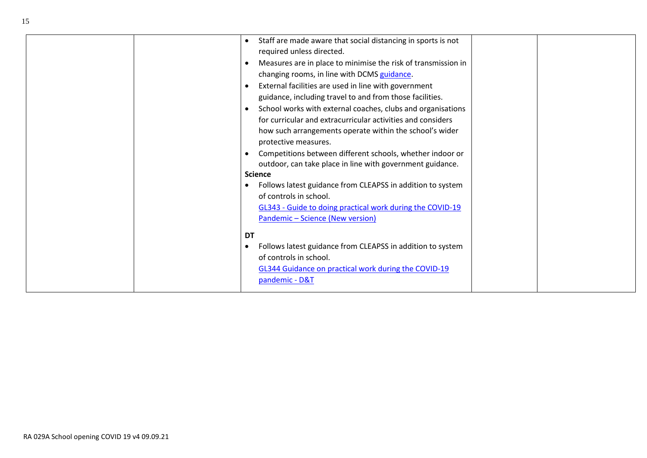| Staff are made aware that social distancing in sports is not  |
|---------------------------------------------------------------|
| required unless directed.                                     |
| Measures are in place to minimise the risk of transmission in |
| changing rooms, in line with DCMS guidance.                   |
| External facilities are used in line with government          |
| guidance, including travel to and from those facilities.      |
| School works with external coaches, clubs and organisations   |
| for curricular and extracurricular activities and considers   |
| how such arrangements operate within the school's wider       |
| protective measures.                                          |
| Competitions between different schools, whether indoor or     |
| outdoor, can take place in line with government guidance.     |
| <b>Science</b>                                                |
| Follows latest guidance from CLEAPSS in addition to system    |
| of controls in school.                                        |
| GL343 - Guide to doing practical work during the COVID-19     |
| Pandemic - Science (New version)                              |
| DT                                                            |
| Follows latest guidance from CLEAPSS in addition to system    |
| of controls in school.                                        |
| GL344 Guidance on practical work during the COVID-19          |
| pandemic - D&T                                                |
|                                                               |